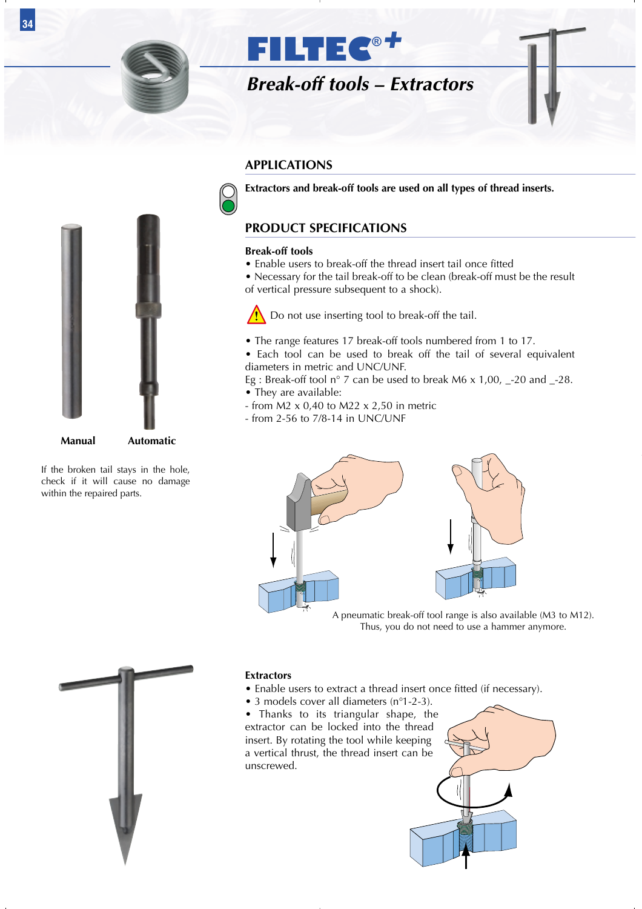



#### **APPLICATIONS**

**Extractors and break-off tools are used on all types of thread inserts.**

### **PRODUCT SPECIFICATIONS**

#### **Break-off tools**

• Enable users to break-off the thread insert tail once fitted

• Necessary for the tail break-off to be clean (break-off must be the result of vertical pressure subsequent to a shock).

 $\sqrt{\cdot}$  Do not use inserting tool to break-off the tail.

• The range features 17 break-off tools numbered from 1 to 17.

• Each tool can be used to break off the tail of several equivalent diameters in metric and UNC/UNF.

Eg : Break-off tool n° 7 can be used to break M6 x 1,00, \_-20 and \_-28. • They are available:

- from M2  $\times$  0,40 to M22  $\times$  2,50 in metric
- from 2-56 to 7/8-14 in UNC/UNF



Thus, you do not need to use a hammer anymore.



**Manual Automatic**

If the broken tail stays in the hole, check if it will cause no damage within the repaired parts.



#### **Extractors**

- Enable users to extract a thread insert once fitted (if necessary).
- 3 models cover all diameters (n°1-2-3).

• Thanks to its triangular shape, the extractor can be locked into the thread insert. By rotating the tool while keeping a vertical thrust, the thread insert can be unscrewed.



**34**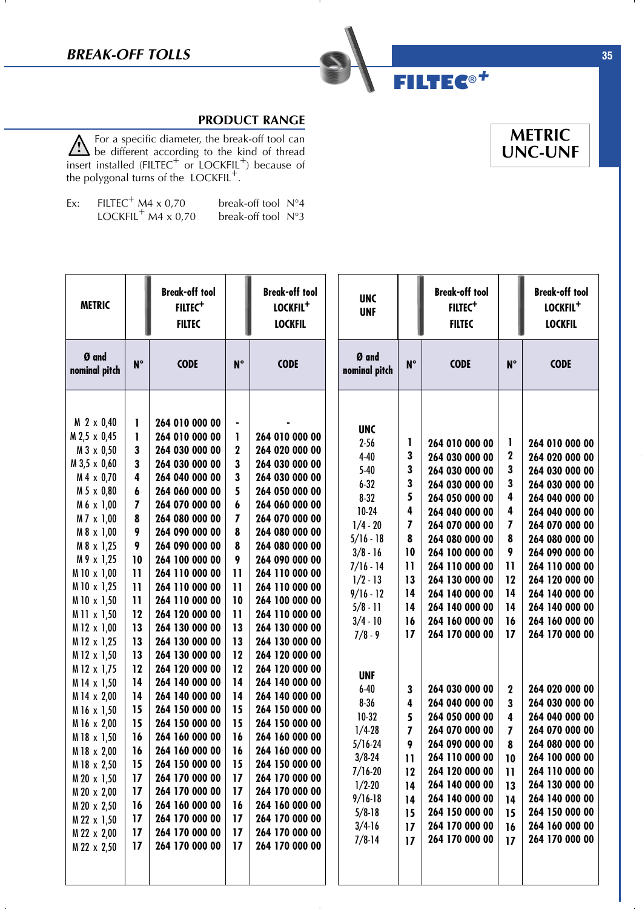

 $\mathbf{I}$ 

### **PRODUCT RANGE**

For a specific diameter, the break-off tool can  $\angle$  be different according to the kind of thread insert installed (FILTEC<sup>+</sup> or LOCKFIL<sup>+</sup>) because of the polygonal turns of the LOCKFIL<sup>+</sup>.

| Ex: | FILTEC <sup>+</sup> M4 $\times$ 0,70 | break-off tool N°4 |  |
|-----|--------------------------------------|--------------------|--|
|     | LOCKFIL <sup>+</sup> M4 x 0,70       | break-off tool N°3 |  |

| <b>METRIC</b>                                                                                                                                                                                                                                                                                                                                                                                                                                                                         |                                                                                                                                                                                                                                         | <b>Break-off tool</b><br>FILTEC <sup>+</sup><br><b>FILTEC</b>                                                                                                                                                                                                                                                                                                                                                                                                                                                                                                                                |                                                                                                                                                                                                                                        | <b>Break-off tool</b><br>LOCKFIL <sup>+</sup><br><b>LOCKFIL</b>                                                                                                                                                                                                                                                                                                                                                                                                                                                                                                            | <b>UNC</b><br><b>UNF</b>                                                                                                                                                                                                                                                                                                                                                                |                                                                                                                                                                       | <b>Break-off tool</b><br>FILTEC <sup>+</sup><br><b>FILTEC</b>                                                                                                                                                                                                                                                                                                                                                                                                                                      |                                                                                                                                                            | <b>Break-off tool</b><br>LOCKFIL <sup>+</sup><br><b>LOCKFIL</b>                                                                                                                                                                                                                                                                                                                                                                                                                                    |
|---------------------------------------------------------------------------------------------------------------------------------------------------------------------------------------------------------------------------------------------------------------------------------------------------------------------------------------------------------------------------------------------------------------------------------------------------------------------------------------|-----------------------------------------------------------------------------------------------------------------------------------------------------------------------------------------------------------------------------------------|----------------------------------------------------------------------------------------------------------------------------------------------------------------------------------------------------------------------------------------------------------------------------------------------------------------------------------------------------------------------------------------------------------------------------------------------------------------------------------------------------------------------------------------------------------------------------------------------|----------------------------------------------------------------------------------------------------------------------------------------------------------------------------------------------------------------------------------------|----------------------------------------------------------------------------------------------------------------------------------------------------------------------------------------------------------------------------------------------------------------------------------------------------------------------------------------------------------------------------------------------------------------------------------------------------------------------------------------------------------------------------------------------------------------------------|-----------------------------------------------------------------------------------------------------------------------------------------------------------------------------------------------------------------------------------------------------------------------------------------------------------------------------------------------------------------------------------------|-----------------------------------------------------------------------------------------------------------------------------------------------------------------------|----------------------------------------------------------------------------------------------------------------------------------------------------------------------------------------------------------------------------------------------------------------------------------------------------------------------------------------------------------------------------------------------------------------------------------------------------------------------------------------------------|------------------------------------------------------------------------------------------------------------------------------------------------------------|----------------------------------------------------------------------------------------------------------------------------------------------------------------------------------------------------------------------------------------------------------------------------------------------------------------------------------------------------------------------------------------------------------------------------------------------------------------------------------------------------|
| Ø and<br>nominal pitch                                                                                                                                                                                                                                                                                                                                                                                                                                                                | $N^{\circ}$                                                                                                                                                                                                                             | <b>CODE</b>                                                                                                                                                                                                                                                                                                                                                                                                                                                                                                                                                                                  | $N^{\circ}$                                                                                                                                                                                                                            | <b>CODE</b>                                                                                                                                                                                                                                                                                                                                                                                                                                                                                                                                                                | Ø and<br>nominal pitch                                                                                                                                                                                                                                                                                                                                                                  | $N^{\circ}$                                                                                                                                                           | <b>CODE</b>                                                                                                                                                                                                                                                                                                                                                                                                                                                                                        | $N^{\circ}$                                                                                                                                                | <b>CODE</b>                                                                                                                                                                                                                                                                                                                                                                                                                                                                                        |
| M 2 x 0,40<br>M 2,5 x 0,45<br>M 3 x 0,50<br>M 3,5 x 0,60<br>M 4 x 0,70<br>M 5 x 0,80<br>M 6 x 1,00<br>M 7 x 1,00<br>M 8 x 1,00<br>M 8 x 1,25<br>M 9 x 1,25<br>M 10 x 1,00<br>M 10 x 1,25<br>M 10 x 1,50<br>M 11 x 1,50<br>M 12 x 1,00<br>M 12 x 1,25<br>M 12 x 1,50<br>M 12 x 1,75<br>M 14 x 1,50<br>M 14 x 2,00<br>M 16 x 1,50<br>M 16 x 2,00<br>M 18 x 1,50<br>M 18 x 2,00<br>M 18 x 2,50<br>M 20 x 1,50<br>M 20 x 2,00<br>M 20 x 2,50<br>M 22 x 1,50<br>M 22 x 2,00<br>M 22 x 2,50 | ı<br>L<br>3<br>3<br>4<br>6<br>$\overline{\phantom{a}}$<br>8<br>9<br>9<br>10<br>$\mathbf{1}$<br>$\mathbf{1}$<br>$\mathbf{1}$<br>12<br>13<br>13<br>13<br>12<br>14<br>14<br>15<br>15<br>16<br>16<br>15<br>17<br>17<br>16<br>17<br>17<br>17 | 264 010 000 00<br>264 010 000 00<br>264 030 000 00<br>264 030 000 00<br>264 040 000 00<br>264 060 000 00<br>264 070 000 00<br>264 080 000 00<br>264 090 000 00<br>264 090 000 00<br>264 100 000 00<br>264 110 000 00<br>264 110 000 00<br>264 110 000 00<br>264 120 000 00<br>264 130 000 00<br>264 130 000 00<br>264 130 000 00<br>264 120 000 00<br>264 140 000 00<br>264 140 000 00<br>264 150 000 00<br>264 150 000 00<br>264 160 000 00<br>264 160 000 00<br>264 150 000 00<br>264 170 000 00<br>264 170 000 00<br>264 160 000 00<br>264 170 000 00<br>264 170 000 00<br>264 170 000 00 | $\blacksquare$<br>1<br>$\mathbf 2$<br>3<br>3<br>5<br>6<br>7<br>8<br>8<br>9<br>$\mathbf{1}$<br>$\mathbf{1}$<br>10<br>$\mathbf{1}$<br>13<br>13<br>12<br>12<br>14<br>14<br>15<br>15<br>16<br>16<br>15<br>17<br>17<br>16<br>17<br>17<br>17 | 264 010 000 00<br>264 020 000 00<br>264 030 000 00<br>264 030 000 00<br>264 050 000 00<br>264 060 000 00<br>264 070 000 00<br>264 080 000 00<br>264 080 000 00<br>264 090 000 00<br>264 110 000 00<br>264 110 000 00<br>264 100 000 00<br>264 110 000 00<br>264 130 000 00<br>264 130 000 00<br>264 120 000 00<br>264 120 000 00<br>264 140 000 00<br>264 140 000 00<br>264 150 000 00<br>264 150 000 00<br>264 160 000 00<br>264 160 000 00<br>264 150 000 00<br>264 170 000 00<br>264 170 000 00<br>264 160 000 00<br>264 170 000 00<br>264 170 000 00<br>264 170 000 00 | <b>UNC</b><br>$2 - 56$<br>$4 - 40$<br>$5-40$<br>$6 - 32$<br>$8 - 32$<br>10-24<br>$1/4 - 20$<br>$5/16 - 18$<br>$3/8 - 16$<br>$7/16 - 14$<br>$1/2 - 13$<br>$9/16 - 12$<br>$5/8 - 11$<br>$3/4 - 10$<br>$7/8 - 9$<br><b>UNF</b><br>$6 - 40$<br>$8 - 36$<br>10-32<br>$1/4 - 28$<br>$5/16 - 24$<br>$3/8 - 24$<br>$7/16 - 20$<br>$1/2 - 20$<br>$9/16-18$<br>$5/8 - 18$<br>$3/4-16$<br>$7/8-14$ | L<br>3<br>3<br>3<br>5<br>4<br>7<br>8<br>10<br>$\mathbf{1}$<br>13<br>14<br>14<br>16<br>17<br>3<br>4<br>5<br>7<br>9<br>$\mathbf{1}$<br>12<br>14<br>14<br>15<br>17<br>17 | 264 010 000 00<br>264 030 000 00<br>264 030 000 00<br>264 030 000 00<br>264 050 000 00<br>264 040 000 00<br>264 070 000 00<br>264 080 000 00<br>264 100 000 00<br>264 110 000 00<br>264 130 000 00<br>264 140 000 00<br>264 140 000 00<br>264 160 000 00<br>264 170 000 00<br>264 030 000 00<br>264 040 000 00<br>264 050 000 00<br>264 070 000 00<br>264 090 000 00<br>264 110 000 00<br>264 120 000 00<br>264 140 000 00<br>264 140 000 00<br>264 150 000 00<br>264 170 000 00<br>264 170 000 00 | 1<br>2<br>3<br>3<br>4<br>4<br>7<br>8<br>9<br>$\mathbf{1}$<br>12<br>14<br>14<br>16<br>17<br>2<br>3<br>4<br>7<br>8<br>10<br>11<br>13<br>14<br>15<br>16<br>17 | 264 010 000 00<br>264 020 000 00<br>264 030 000 00<br>264 030 000 00<br>264 040 000 00<br>264 040 000 00<br>264 070 000 00<br>264 080 000 00<br>264 090 000 00<br>264 110 000 00<br>264 120 000 00<br>264 140 000 00<br>264 140 000 00<br>264 160 000 00<br>264 170 000 00<br>264 020 000 00<br>264 030 000 00<br>264 040 000 00<br>264 070 000 00<br>264 080 000 00<br>264 100 000 00<br>264 110 000 00<br>264 130 000 00<br>264 140 000 00<br>264 150 000 00<br>264 160 000 00<br>264 170 000 00 |

# **METRIC UNC-UNF**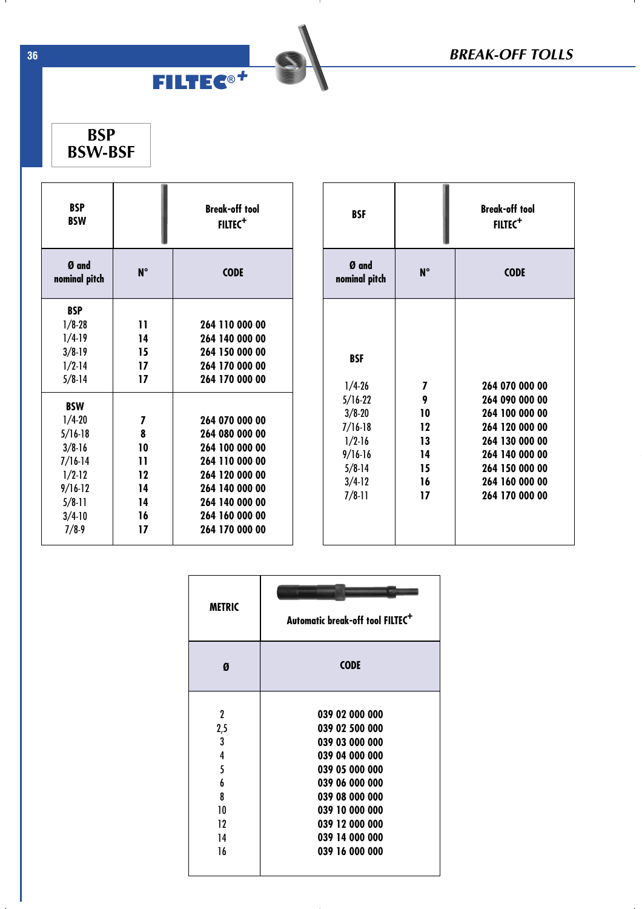**BSP BSW-BSF**

| <b>BSP</b><br><b>BSW</b> |             | <b>Break-off tool</b><br>FILTEC <sup>+</sup> |  |  |  |
|--------------------------|-------------|----------------------------------------------|--|--|--|
| Ø and<br>nominal pitch   | $N^{\circ}$ | <b>CODE</b>                                  |  |  |  |
| <b>BSP</b>               |             |                                              |  |  |  |
| $1/8 - 28$               | 11          | 264 110 000 00                               |  |  |  |
| $1/4-19$                 | 14          | 264 140 000 00                               |  |  |  |
| $3/8 - 19$               | 15          | 264 150 000 00                               |  |  |  |
| $1/2 - 14$               | 17          | 264 170 000 00                               |  |  |  |
| $5/8 - 14$               | 17          | 264 170 000 00                               |  |  |  |
| <b>BSW</b>               |             |                                              |  |  |  |
| $1/4 - 20$               | 7           | 264 070 000 00                               |  |  |  |
| $5/16-18$                | 8           | 264 080 000 00                               |  |  |  |
| $3/8 - 16$               | 10          | 264 100 000 00                               |  |  |  |
| $7/16-14$                | 11          | 264 110 000 00                               |  |  |  |
| $1/2 - 12$               | 12          | 264 120 000 00                               |  |  |  |
| $9/16-12$                | 14          | 264 140 000 00                               |  |  |  |
| $5/8-11$                 | 14          | 264 140 000 00                               |  |  |  |
| $3/4 - 10$               | 16          | 264 160 000 00                               |  |  |  |
| $7/8-9$                  | 17          | 264 170 000 00                               |  |  |  |

**FILTEC®***+*

- 11

| <b>BSF</b>             |           | <b>Break-off tool</b><br>$FILTEC+$ |  |  |  |
|------------------------|-----------|------------------------------------|--|--|--|
| Ø and<br>nominal pitch | <b>N°</b> | <b>CODE</b>                        |  |  |  |
|                        |           |                                    |  |  |  |
| <b>BSF</b>             |           |                                    |  |  |  |
| $1/4 - 26$             | 7         | 264 070 000 00                     |  |  |  |
| $5/16 - 22$            | 9         | 264 090 000 00                     |  |  |  |
| $3/8 - 20$             | 10        | 264 100 000 00                     |  |  |  |
| $7/16-18$              | 12        | 264 120 000 00                     |  |  |  |
| $1/2-16$               | 13        | 264 130 000 00                     |  |  |  |
| $9/16-16$              | 14        | 264 140 000 00                     |  |  |  |
| $5/8 - 14$             | 15        | 264 150 000 00                     |  |  |  |
| $3/4-12$               | 16        | 264 160 000 00                     |  |  |  |
| $7/8-11$               | 17        | 264 170 000 00                     |  |  |  |
|                        |           |                                    |  |  |  |

| <b>METRIC</b>                                             | Automatic break-off tool FILTEC <sup>+</sup>                                                                                                                                                       |  |  |  |
|-----------------------------------------------------------|----------------------------------------------------------------------------------------------------------------------------------------------------------------------------------------------------|--|--|--|
| Ø                                                         | <b>CODE</b>                                                                                                                                                                                        |  |  |  |
| 2<br>2,5<br>3<br>4<br>5<br>6<br>8<br>10<br>12<br>14<br>16 | 039 02 000 000<br>039 02 500 000<br>039 03 000 000<br>039 04 000 000<br>039 05 000 000<br>039 06 000 000<br>039 08 000 000<br>039 10 000 000<br>039 12 000 000<br>039 14 000 000<br>039 16 000 000 |  |  |  |

**36**